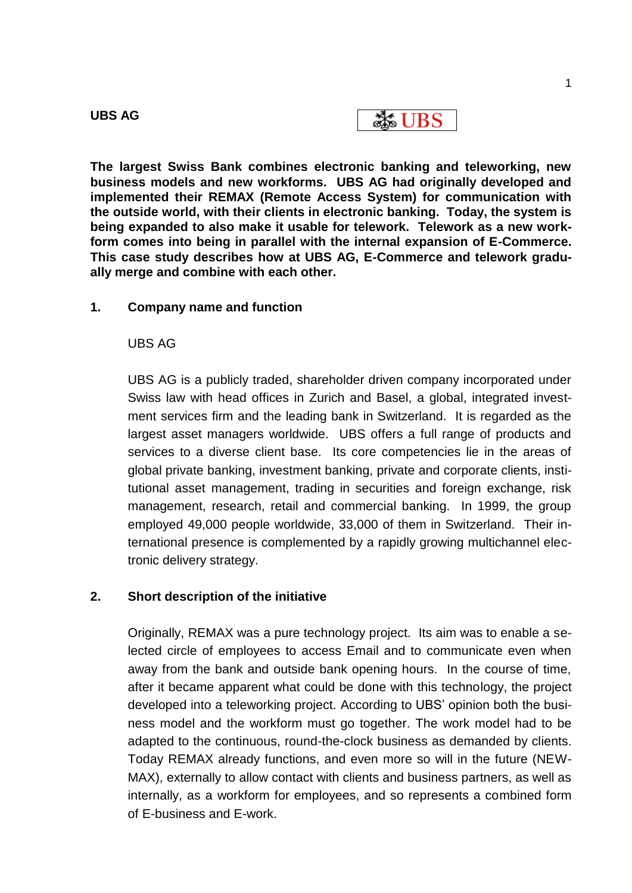| m<br>ш | Λ |
|--------|---|
|--------|---|

**EXELUBS** 

**The largest Swiss Bank combines electronic banking and teleworking, new business models and new workforms. UBS AG had originally developed and implemented their REMAX (Remote Access System) for communication with the outside world, with their clients in electronic banking. Today, the system is being expanded to also make it usable for telework. Telework as a new workform comes into being in parallel with the internal expansion of E-Commerce. This case study describes how at UBS AG, E-Commerce and telework gradually merge and combine with each other.**

## **1. Company name and function**

## UBS AG

UBS AG is a publicly traded, shareholder driven company incorporated under Swiss law with head offices in Zurich and Basel, a global, integrated investment services firm and the leading bank in Switzerland. It is regarded as the largest asset managers worldwide. UBS offers a full range of products and services to a diverse client base. Its core competencies lie in the areas of global private banking, investment banking, private and corporate clients, institutional asset management, trading in securities and foreign exchange, risk management, research, retail and commercial banking. In 1999, the group employed 49,000 people worldwide, 33,000 of them in Switzerland. Their international presence is complemented by a rapidly growing multichannel electronic delivery strategy.

## **2. Short description of the initiative**

Originally, REMAX was a pure technology project. Its aim was to enable a selected circle of employees to access Email and to communicate even when away from the bank and outside bank opening hours. In the course of time, after it became apparent what could be done with this technology, the project developed into a teleworking project. According to UBS' opinion both the business model and the workform must go together. The work model had to be adapted to the continuous, round-the-clock business as demanded by clients. Today REMAX already functions, and even more so will in the future (NEW-MAX), externally to allow contact with clients and business partners, as well as internally, as a workform for employees, and so represents a combined form of E-business and E-work.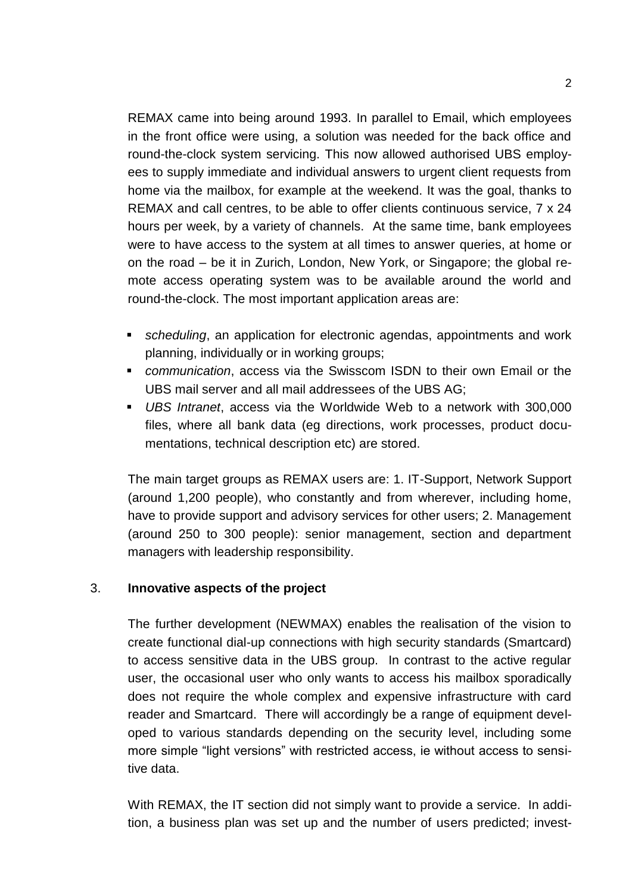REMAX came into being around 1993. In parallel to Email, which employees in the front office were using, a solution was needed for the back office and round-the-clock system servicing. This now allowed authorised UBS employees to supply immediate and individual answers to urgent client requests from home via the mailbox, for example at the weekend. It was the goal, thanks to REMAX and call centres, to be able to offer clients continuous service, 7 x 24 hours per week, by a variety of channels. At the same time, bank employees were to have access to the system at all times to answer queries, at home or on the road – be it in Zurich, London, New York, or Singapore; the global remote access operating system was to be available around the world and round-the-clock. The most important application areas are:

- *scheduling*, an application for electronic agendas, appointments and work planning, individually or in working groups;
- *communication*, access via the Swisscom ISDN to their own Email or the UBS mail server and all mail addressees of the UBS AG;
- *UBS Intranet*, access via the Worldwide Web to a network with 300,000 files, where all bank data (eg directions, work processes, product documentations, technical description etc) are stored.

The main target groups as REMAX users are: 1. IT-Support, Network Support (around 1,200 people), who constantly and from wherever, including home, have to provide support and advisory services for other users; 2. Management (around 250 to 300 people): senior management, section and department managers with leadership responsibility.

## 3. **Innovative aspects of the project**

The further development (NEWMAX) enables the realisation of the vision to create functional dial-up connections with high security standards (Smartcard) to access sensitive data in the UBS group. In contrast to the active regular user, the occasional user who only wants to access his mailbox sporadically does not require the whole complex and expensive infrastructure with card reader and Smartcard. There will accordingly be a range of equipment developed to various standards depending on the security level, including some more simple "light versions" with restricted access, ie without access to sensitive data.

With REMAX, the IT section did not simply want to provide a service. In addition, a business plan was set up and the number of users predicted; invest